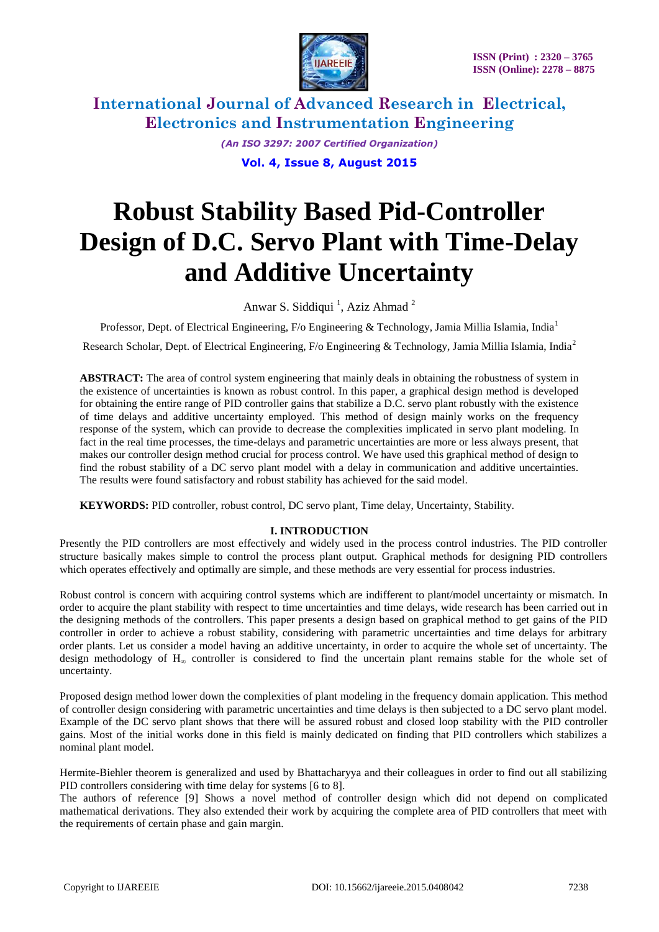

> *(An ISO 3297: 2007 Certified Organization)* **Vol. 4, Issue 8, August 2015**

# **Robust Stability Based Pid-Controller Design of D.C. Servo Plant with Time-Delay and Additive Uncertainty**

Anwar S. Siddiqui<sup>1</sup>, Aziz Ahmad<sup>2</sup>

Professor, Dept. of Electrical Engineering, F/o Engineering & Technology, Jamia Millia Islamia, India<sup>1</sup>

Research Scholar, Dept. of Electrical Engineering, F/o Engineering & Technology, Jamia Millia Islamia, India<sup>2</sup>

**ABSTRACT:** The area of control system engineering that mainly deals in obtaining the robustness of system in the existence of uncertainties is known as robust control. In this paper, a graphical design method is developed for obtaining the entire range of PID controller gains that stabilize a D.C. servo plant robustly with the existence of time delays and additive uncertainty employed. This method of design mainly works on the frequency response of the system, which can provide to decrease the complexities implicated in servo plant modeling. In fact in the real time processes, the time-delays and parametric uncertainties are more or less always present, that makes our controller design method crucial for process control. We have used this graphical method of design to find the robust stability of a DC servo plant model with a delay in communication and additive uncertainties. The results were found satisfactory and robust stability has achieved for the said model.

**KEYWORDS:** PID controller, robust control, DC servo plant, Time delay, Uncertainty, Stability.

## **I. INTRODUCTION**

Presently the PID controllers are most effectively and widely used in the process control industries. The PID controller structure basically makes simple to control the process plant output. Graphical methods for designing PID controllers which operates effectively and optimally are simple, and these methods are very essential for process industries.

Robust control is concern with acquiring control systems which are indifferent to plant/model uncertainty or mismatch. In order to acquire the plant stability with respect to time uncertainties and time delays, wide research has been carried out in the designing methods of the controllers. This paper presents a design based on graphical method to get gains of the PID controller in order to achieve a robust stability, considering with parametric uncertainties and time delays for arbitrary order plants. Let us consider a model having an additive uncertainty, in order to acquire the whole set of uncertainty. The design methodology of  $H<sub>∞</sub>$  controller is considered to find the uncertain plant remains stable for the whole set of uncertainty.

Proposed design method lower down the complexities of plant modeling in the frequency domain application. This method of controller design considering with parametric uncertainties and time delays is then subjected to a DC servo plant model. Example of the DC servo plant shows that there will be assured robust and closed loop stability with the PID controller gains. Most of the initial works done in this field is mainly dedicated on finding that PID controllers which stabilizes a nominal plant model.

Hermite-Biehler theorem is generalized and used by Bhattacharyya and their colleagues in order to find out all stabilizing PID controllers considering with time delay for systems [6 to 8].

The authors of reference [9] Shows a novel method of controller design which did not depend on complicated mathematical derivations. They also extended their work by acquiring the complete area of PID controllers that meet with the requirements of certain phase and gain margin.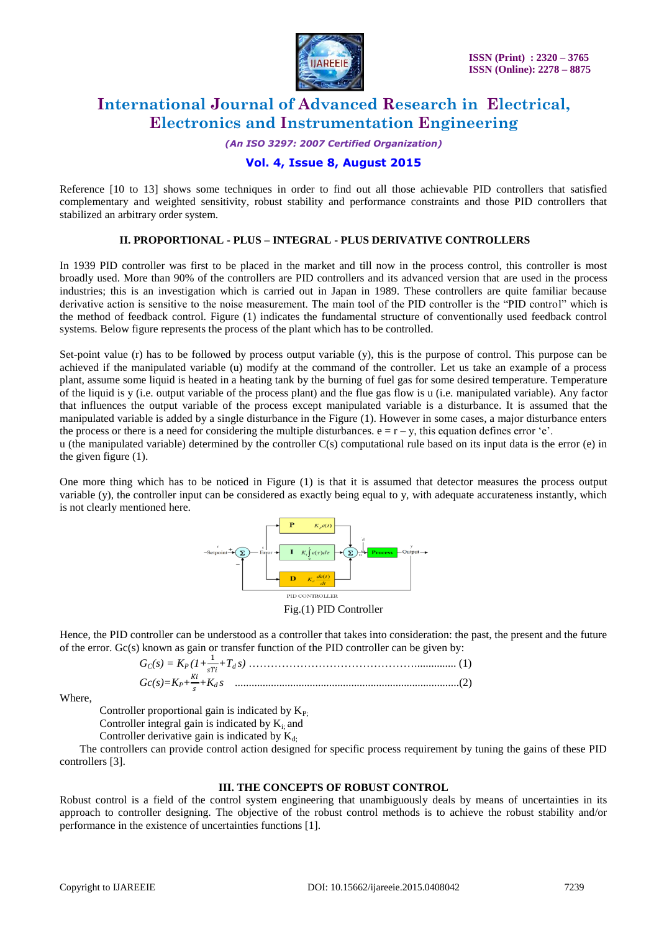

*(An ISO 3297: 2007 Certified Organization)*

## **Vol. 4, Issue 8, August 2015**

Reference [10 to 13] shows some techniques in order to find out all those achievable PID controllers that satisfied complementary and weighted sensitivity, robust stability and performance constraints and those PID controllers that stabilized an arbitrary order system.

## **II. PROPORTIONAL - PLUS – INTEGRAL - PLUS DERIVATIVE CONTROLLERS**

In 1939 PID controller was first to be placed in the market and till now in the process control, this controller is most broadly used. More than 90% of the controllers are PID controllers and its advanced version that are used in the process industries; this is an investigation which is carried out in Japan in 1989. These controllers are quite familiar because derivative action is sensitive to the noise measurement. The main tool of the PID controller is the "PID control" which is the method of feedback control. Figure (1) indicates the fundamental structure of conventionally used feedback control systems. Below figure represents the process of the plant which has to be controlled.

Set-point value (r) has to be followed by process output variable (y), this is the purpose of control. This purpose can be achieved if the manipulated variable (u) modify at the command of the controller. Let us take an example of a process plant, assume some liquid is heated in a heating tank by the burning of fuel gas for some desired temperature. Temperature of the liquid is y (i.e. output variable of the process plant) and the flue gas flow is u (i.e. manipulated variable). Any factor that influences the output variable of the process except manipulated variable is a disturbance. It is assumed that the manipulated variable is added by a single disturbance in the Figure (1). However in some cases, a major disturbance enters the process or there is a need for considering the multiple disturbances.  $e = r - y$ , this equation defines error 'e'.

u (the manipulated variable) determined by the controller C(s) computational rule based on its input data is the error (e) in the given figure (1).

One more thing which has to be noticed in Figure (1) is that it is assumed that detector measures the process output variable (y), the controller input can be considered as exactly being equal to y, with adequate accurateness instantly, which is not clearly mentioned here.



Fig.(1) PID Controller

Hence, the PID controller can be understood as a controller that takes into consideration: the past, the present and the future of the error. Gc(s) known as gain or transfer function of the PID controller can be given by:

Where,

Controller proportional gain is indicated by  $K_{P}$ .

Controller integral gain is indicated by  $K_i$  and

Controller derivative gain is indicated by  $K_{d}$ .

The controllers can provide control action designed for specific process requirement by tuning the gains of these PID controllers [3].

#### **III. THE CONCEPTS OF ROBUST CONTROL**

Robust control is a field of the control system engineering that unambiguously deals by means of uncertainties in its approach to controller designing. The objective of the robust control methods is to achieve the robust stability and/or performance in the existence of uncertainties functions [1].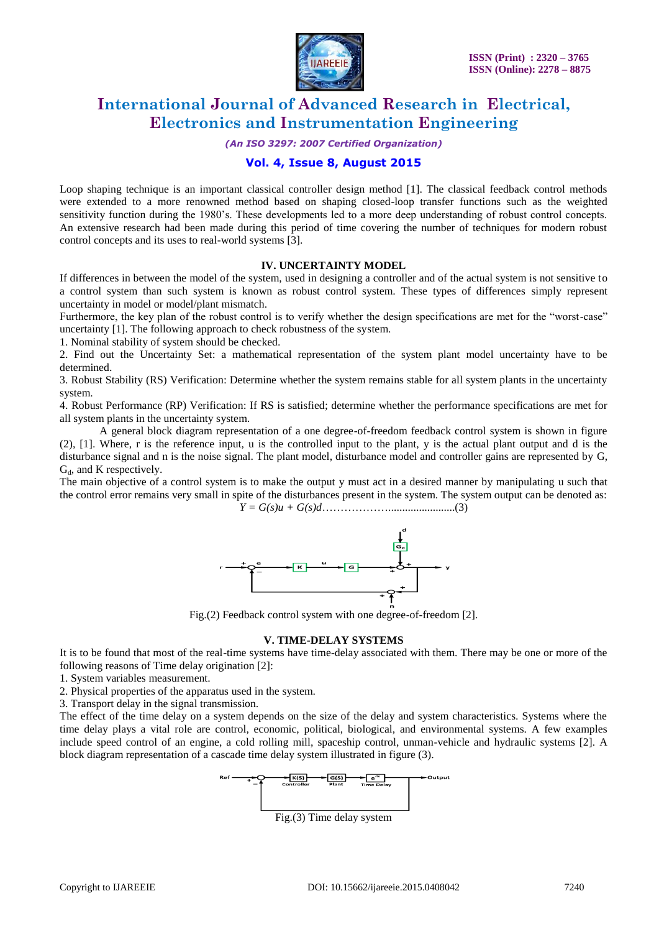

*(An ISO 3297: 2007 Certified Organization)*

## **Vol. 4, Issue 8, August 2015**

Loop shaping technique is an important classical controller design method [1]. The classical feedback control methods were extended to a more renowned method based on shaping closed-loop transfer functions such as the weighted sensitivity function during the 1980"s. These developments led to a more deep understanding of robust control concepts. An extensive research had been made during this period of time covering the number of techniques for modern robust control concepts and its uses to real-world systems [3].

#### **IV. UNCERTAINTY MODEL**

If differences in between the model of the system, used in designing a controller and of the actual system is not sensitive to a control system than such system is known as robust control system. These types of differences simply represent uncertainty in model or model/plant mismatch.

Furthermore, the key plan of the robust control is to verify whether the design specifications are met for the "worst-case" uncertainty [1]. The following approach to check robustness of the system.

1. Nominal stability of system should be checked.

2. Find out the Uncertainty Set: a mathematical representation of the system plant model uncertainty have to be determined.

3. Robust Stability (RS) Verification: Determine whether the system remains stable for all system plants in the uncertainty system.

4. Robust Performance (RP) Verification: If RS is satisfied; determine whether the performance specifications are met for all system plants in the uncertainty system.

A general block diagram representation of a one degree-of-freedom feedback control system is shown in figure (2), [1]. Where, r is the reference input, u is the controlled input to the plant, y is the actual plant output and d is the disturbance signal and n is the noise signal. The plant model, disturbance model and controller gains are represented by G,  $G_d$ , and K respectively.

The main objective of a control system is to make the output y must act in a desired manner by manipulating u such that the control error remains very small in spite of the disturbances present in the system. The system output can be denoted as: *Y = G(s)u + G(s)d*………………........................(3)



Fig.(2) Feedback control system with one degree-of-freedom [2].

## **V. TIME-DELAY SYSTEMS**

It is to be found that most of the real-time systems have time-delay associated with them. There may be one or more of the following reasons of Time delay origination [2]:

1. System variables measurement.

2. Physical properties of the apparatus used in the system.

3. Transport delay in the signal transmission.

The effect of the time delay on a system depends on the size of the delay and system characteristics. Systems where the time delay plays a vital role are control, economic, political, biological, and environmental systems. A few examples include speed control of an engine, a cold rolling mill, spaceship control, unman-vehicle and hydraulic systems [2]. A block diagram representation of a cascade time delay system illustrated in figure (3).

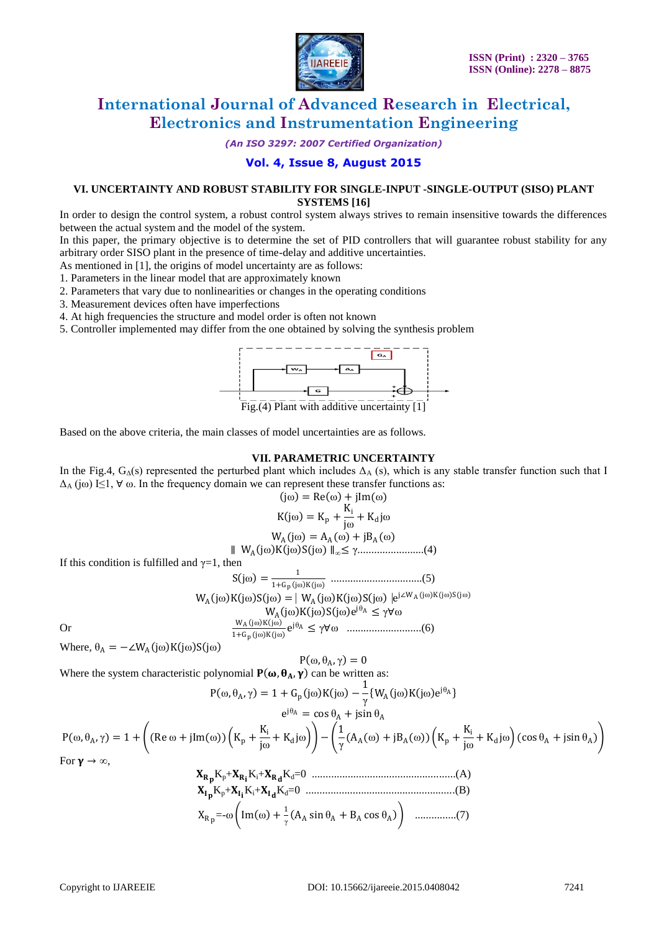

*(An ISO 3297: 2007 Certified Organization)*

# **Vol. 4, Issue 8, August 2015**

#### **VI. UNCERTAINTY AND ROBUST STABILITY FOR SINGLE-INPUT -SINGLE-OUTPUT (SISO) PLANT SYSTEMS [16]**

In order to design the control system, a robust control system always strives to remain insensitive towards the differences between the actual system and the model of the system.

In this paper, the primary objective is to determine the set of PID controllers that will guarantee robust stability for any arbitrary order SISO plant in the presence of time-delay and additive uncertainties.

As mentioned in [1], the origins of model uncertainty are as follows:

- 1. Parameters in the linear model that are approximately known
- 2. Parameters that vary due to nonlinearities or changes in the operating conditions
- 3. Measurement devices often have imperfections
- 4. At high frequencies the structure and model order is often not known
- 5. Controller implemented may differ from the one obtained by solving the synthesis problem



Based on the above criteria, the main classes of model uncertainties are as follows.

#### **VII. PARAMETRIC UNCERTAINTY**

In the Fig.4,  $G_{\Delta}(s)$  represented the perturbed plant which includes  $\Delta_{A}(s)$ , which is any stable transfer function such that I  $\Delta_A$  (jω) I $\leq$ 1,  $\forall$  ω. In the frequency domain we can represent these transfer functions as:  $j(\omega) = \text{Ra}(\omega) + i\text{Im}(\omega)$ 

$$
K(j\omega) = K_p + \frac{K_i}{j\omega} + K_d j\omega
$$

$$
W_{A}(j\omega) = A_{A}(\omega) + jB_{A}(\omega)
$$

∥ W<sup>A</sup> jω K jω S(jω) ∥∞≤ γ........................(4) If this condition is fulfilled and  $\gamma=1$ , then

S jω = 1 1+Gp jω K(jω) .................................(5) W<sup>A</sup> jω K jω S jω = ⎸W<sup>A</sup> jω K jω S jω ⎹e j∠WA jω K jω S(jω) W<sup>A</sup> jω K jω S jω e <sup>j</sup>θ<sup>A</sup> ≤ γ∀ω Or <sup>W</sup><sup>A</sup> <sup>j</sup><sup>ω</sup> <sup>K</sup> <sup>j</sup><sup>ω</sup> 1+Gp jω K jω e <sup>j</sup>θ<sup>A</sup> ≤ γ∀ω ...........................(6)

Where,  $\theta_A = -\angle W_A(j\omega)K(j\omega)S(j\omega)$ 

 $P(\omega, \theta_A, \gamma) = 0$ Where the system characteristic polynomial  $P(\omega, \theta_A, \gamma)$  can be written as:

$$
P(\omega, \theta_A, \gamma) = 1 + G_p(j\omega)K(j\omega) - \frac{1}{\gamma} \{W_A(j\omega)K(j\omega)e^{j\theta_A}\}
$$

$$
P(\omega, \theta_A, \gamma) = 1 + \left( (Re \omega + jIm(\omega)) \left( K_p + \frac{K_i}{j\omega} + K_d j\omega \right) \right) - \left( \frac{1}{\gamma} (A_A(\omega) + jB_A(\omega)) \left( K_p + \frac{K_i}{j\omega} + K_d j\omega \right) (cos \theta_A + jsin \theta_A) \right)
$$
  
For  $\gamma \to \infty$ ,

$$
X_{R_p}K_p + X_{R_i}K_i + X_{R_d}K_d = 0
$$
\n
$$
X_{I_p}K_p + X_{I_i}K_i + X_{I_d}K_d = 0
$$
\n
$$
X_{R_p} = -\omega \left( \text{Im}(\omega) + \frac{1}{\gamma} (A_A \sin \theta_A + B_A \cos \theta_A) \right)
$$
\n
$$
\dots
$$
\n(7)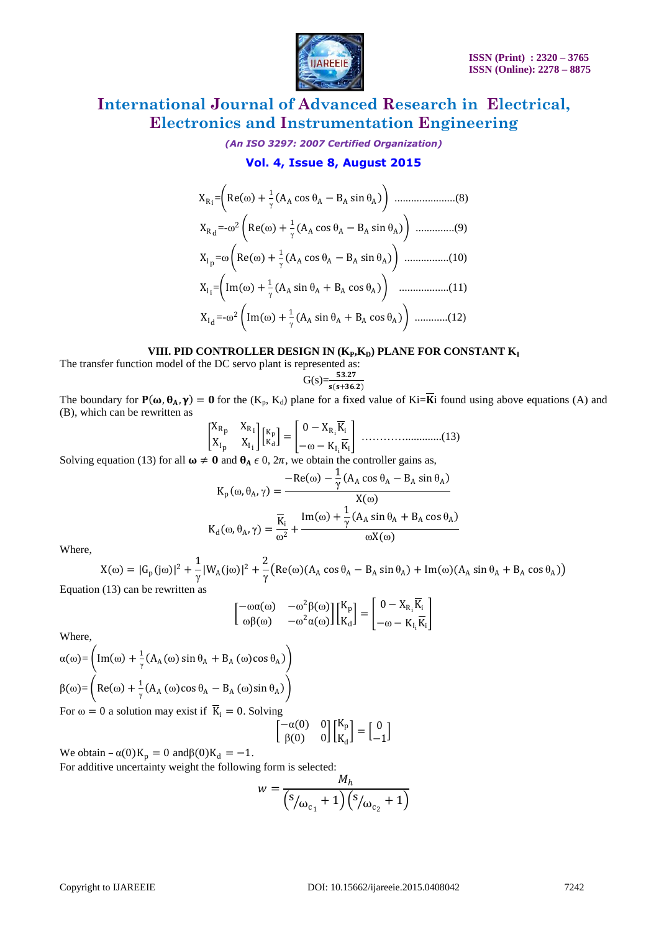

*(An ISO 3297: 2007 Certified Organization)*

## **Vol. 4, Issue 8, August 2015**

XRi = Re ω + 1 γ A<sup>A</sup> cos θ<sup>A</sup> − B<sup>A</sup> sin θ<sup>A</sup> ......................(8) XRd =-ω <sup>2</sup> Re ω + 1 γ A<sup>A</sup> cos θ<sup>A</sup> −B<sup>A</sup> sin θ<sup>A</sup> ..............(9) XIp =ω Re ω + 1 γ A<sup>A</sup> cos θ<sup>A</sup> − B<sup>A</sup> sin θ<sup>A</sup> ................(10) XIi = Im ω + 1 γ A<sup>A</sup> sin θ<sup>A</sup> +B<sup>A</sup> cos θ<sup>A</sup> ..................(11) XId =-ω <sup>2</sup> Im ω + 1 γ A<sup>A</sup> sin θ<sup>A</sup> + B<sup>A</sup> cos θ<sup>A</sup> ............(12)

#### VIII. PID CONTROLLER DESIGN IN ( $K_{P}$ , $K_{D}$ ) PLANE FOR CONSTANT  $K_{I}$

The transfer function model of the DC servo plant is represented as:

$$
G(s) = \frac{53.27}{s(s+36.2)}
$$

The boundary for  $P(\omega, \theta_A, \gamma) = 0$  for the  $(K_p, K_d)$  plane for a fixed value of Ki= $\overline{K}$ i found using above equations (A) and (B), which can be rewritten as  $=$   $\overline{ }$ 

 XRp XRi XIp XIi Kp Kd = 0− X<sup>R</sup><sup>i</sup> Ki −ω −K<sup>I</sup><sup>i</sup> Ki ………….............(13)

Solving equation (13) for all  $\omega \neq 0$  and  $\theta_A \in 0$ ,  $2\pi$ , we obtain the controller gains as,

$$
K_{p}(\omega, \theta_{A}, \gamma) = \frac{-\text{Re}(\omega) - \frac{1}{\gamma} (A_{A} \cos \theta_{A} - B_{A} \sin \theta_{A})}{X(\omega)}
$$

$$
K_{d}(\omega, \theta_{A}, \gamma) = \frac{\overline{K}_{i}}{\omega^{2}} + \frac{\text{Im}(\omega) + \frac{1}{\gamma} (A_{A} \sin \theta_{A} + B_{A} \cos \theta_{A})}{\omega X(\omega)}
$$

Where,

X(ω) = |G<sub>p</sub>(jω)|<sup>2</sup> +  $\frac{1}{\gamma}$  $\frac{1}{\gamma} |W_A(j\omega)|^2 + \frac{2}{\gamma}$  $\frac{1}{\gamma}$ (Re(ω)(A<sub>A</sub> cos  $\theta_A - B_A \sin \theta_A$ ) + Im(ω)(A<sub>A</sub> sin  $\theta_A + B_A \cos \theta_A$ ) Equation (13) can be rewritten as

$$
\begin{bmatrix} -\omega a(\omega) & -\omega^2 \beta(\omega) \\ \omega \beta(\omega) & -\omega^2 a(\omega) \end{bmatrix} \begin{bmatrix} K_p \\ K_d \end{bmatrix} = \begin{bmatrix} 0 - X_{R_i} \overline{K}_i \\ -\omega - K_{I_i} \overline{K}_i \end{bmatrix}
$$

Where,

$$
\alpha(\omega) = \left( \text{Im}(\omega) + \frac{1}{\gamma} (A_A(\omega) \sin \theta_A + B_A(\omega) \cos \theta_A) \right)
$$
  

$$
\beta(\omega) = \left( \text{Re}(\omega) + \frac{1}{\gamma} (A_A(\omega) \cos \theta_A - B_A(\omega) \sin \theta_A) \right)
$$

For  $\omega = 0$  a solution may exist if  $\overline{K}_i = 0$ . Solving

$$
\begin{bmatrix} -\alpha(0) & 0 \\ \beta(0) & 0 \end{bmatrix} \begin{bmatrix} K_p \\ K_d \end{bmatrix} = \begin{bmatrix} 0 \\ -1 \end{bmatrix}
$$

We obtain  $-\alpha(0)K_p = 0$  and  $\beta(0)K_d = -1$ .

For additive uncertainty weight the following form is selected:

$$
w = \frac{M_h}{\left(\frac{s_{\text{w}}}{s_{\text{w}}+1}\right)\left(\frac{s_{\text{w}}}{s_{\text{c}}+1}\right)}
$$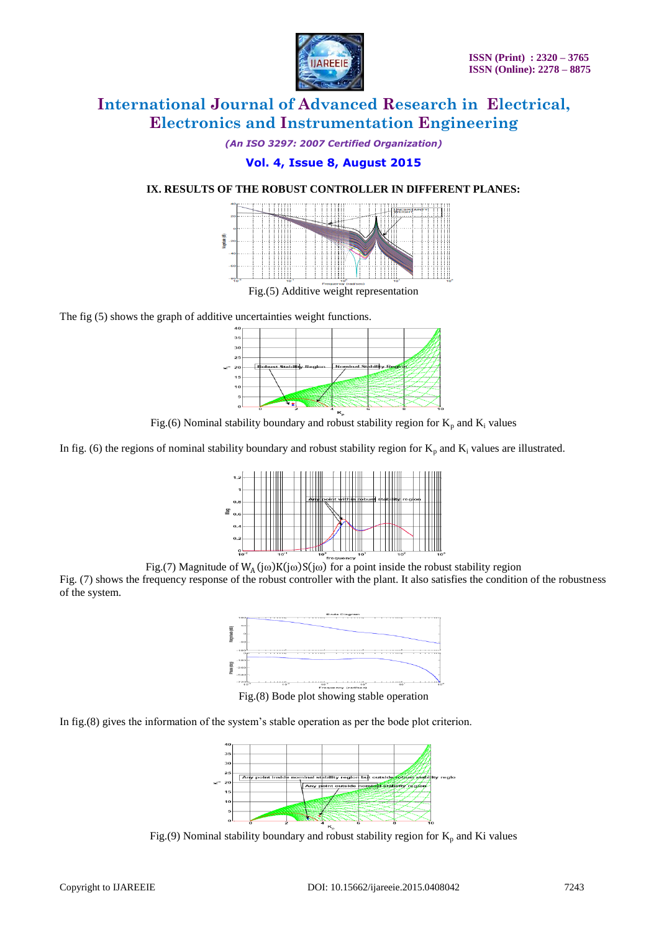

*(An ISO 3297: 2007 Certified Organization)*

# **Vol. 4, Issue 8, August 2015**

# **IX. RESULTS OF THE ROBUST CONTROLLER IN DIFFERENT PLANES:**



Fig.(5) Additive weight representation

The fig (5) shows the graph of additive uncertainties weight functions.



Fig.(6) Nominal stability boundary and robust stability region for  $K_p$  and  $K_i$  values

In fig. (6) the regions of nominal stability boundary and robust stability region for  $K_p$  and  $K_i$  values are illustrated.



Fig.(7) Magnitude of  $W_A(j\omega)K(j\omega)S(j\omega)$  for a point inside the robust stability region

Fig. (7) shows the frequency response of the robust controller with the plant. It also satisfies the condition of the robustness of the system.



In fig.(8) gives the information of the system's stable operation as per the bode plot criterion.



Fig.(9) Nominal stability boundary and robust stability region for  $K_p$  and Ki values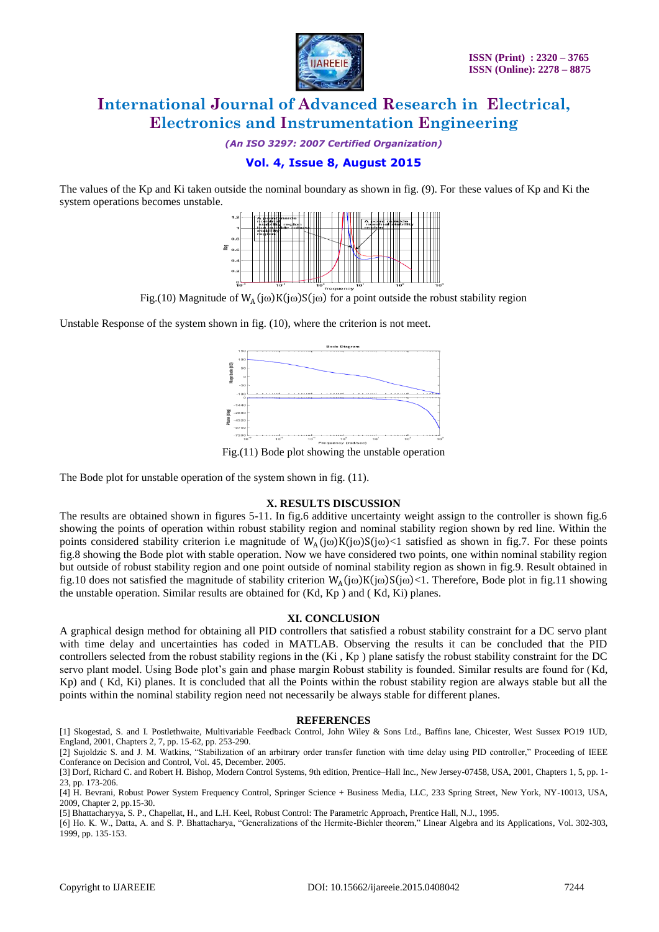

*(An ISO 3297: 2007 Certified Organization)*

# **Vol. 4, Issue 8, August 2015**

The values of the Kp and Ki taken outside the nominal boundary as shown in fig. (9). For these values of Kp and Ki the system operations becomes unstable.



Fig.(10) Magnitude of  $W_A(j\omega)K(j\omega)S(j\omega)$  for a point outside the robust stability region

Unstable Response of the system shown in fig. (10), where the criterion is not meet.



Fig.(11) Bode plot showing the unstable operation

The Bode plot for unstable operation of the system shown in fig. (11).

## **X. RESULTS DISCUSSION**

The results are obtained shown in figures 5-11. In fig.6 additive uncertainty weight assign to the controller is shown fig.6 showing the points of operation within robust stability region and nominal stability region shown by red line. Within the points considered stability criterion i.e magnitude of  $W_A(j\omega)K(j\omega)S(j\omega)$  satisfied as shown in fig.7. For these points fig.8 showing the Bode plot with stable operation. Now we have considered two points, one within nominal stability region but outside of robust stability region and one point outside of nominal stability region as shown in fig.9. Result obtained in fig.10 does not satisfied the magnitude of stability criterion  $W_A(j\omega)K(j\omega)S(j\omega)$  Therefore, Bode plot in fig.11 showing the unstable operation. Similar results are obtained for (Kd, Kp ) and ( Kd, Ki) planes.

#### **XI. CONCLUSION**

A graphical design method for obtaining all PID controllers that satisfied a robust stability constraint for a DC servo plant with time delay and uncertainties has coded in MATLAB. Observing the results it can be concluded that the PID controllers selected from the robust stability regions in the (Ki , Kp ) plane satisfy the robust stability constraint for the DC servo plant model. Using Bode plot's gain and phase margin Robust stability is founded. Similar results are found for (Kd, Kp) and ( Kd, Ki) planes. It is concluded that all the Points within the robust stability region are always stable but all the points within the nominal stability region need not necessarily be always stable for different planes.

#### **REFERENCES**

[1] Skogestad, S. and I. Postlethwaite, Multivariable Feedback Control, John Wiley & Sons Ltd., Baffins lane, Chicester, West Sussex PO19 1UD, England, 2001, Chapters 2, 7, pp. 15-62, pp. 253-290.

[2] Sujoldzic S. and J. M. Watkins, "Stabilization of an arbitrary order transfer function with time delay using PID controller," Proceeding of IEEE Conferance on Decision and Control, Vol. 45, December. 2005.

[5] Bhattacharyya, S. P., Chapellat, H., and L.H. Keel, Robust Control: The Parametric Approach, Prentice Hall, N.J., 1995.

[6] Ho. K. W., Datta, A. and S. P. Bhattacharya, "Generalizations of the Hermite-Biehler theorem," Linear Algebra and its Applications, Vol. 302-303, 1999, pp. 135-153.

<sup>[3]</sup> Dorf, Richard C. and Robert H. Bishop, Modern Control Systems, 9th edition, Prentice–Hall Inc., New Jersey-07458, USA, 2001, Chapters 1, 5, pp. 1- 23, pp. 173-206.

<sup>[4]</sup> H. Bevrani, Robust Power System Frequency Control, Springer Science + Business Media, LLC, 233 Spring Street, New York, NY-10013, USA, 2009, Chapter 2, pp.15-30.